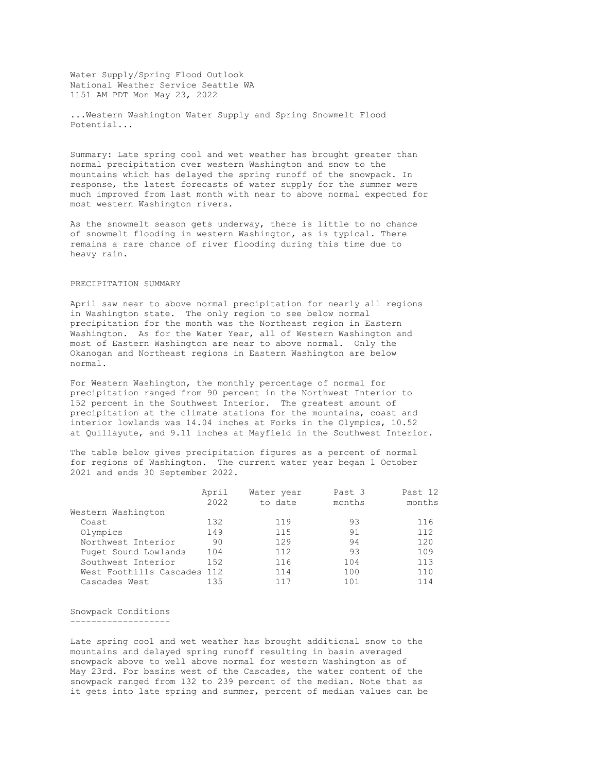Water Supply/Spring Flood Outlook National Weather Service Seattle WA 1151 AM PDT Mon May 23, 2022

...Western Washington Water Supply and Spring Snowmelt Flood Potential...

Summary: Late spring cool and wet weather has brought greater than normal precipitation over western Washington and snow to the mountains which has delayed the spring runoff of the snowpack. In response, the latest forecasts of water supply for the summer were much improved from last month with near to above normal expected for most western Washington rivers.

As the snowmelt season gets underway, there is little to no chance of snowmelt flooding in western Washington, as is typical. There remains a rare chance of river flooding during this time due to heavy rain.

## PRECIPITATION SUMMARY

April saw near to above normal precipitation for nearly all regions in Washington state. The only region to see below normal precipitation for the month was the Northeast region in Eastern Washington. As for the Water Year, all of Western Washington and most of Eastern Washington are near to above normal. Only the Okanogan and Northeast regions in Eastern Washington are below normal.

For Western Washington, the monthly percentage of normal for precipitation ranged from 90 percent in the Northwest Interior to 152 percent in the Southwest Interior. The greatest amount of precipitation at the climate stations for the mountains, coast and interior lowlands was 14.04 inches at Forks in the Olympics, 10.52 at Quillayute, and 9.11 inches at Mayfield in the Southwest Interior.

The table below gives precipitation figures as a percent of normal for regions of Washington. The current water year began 1 October 2021 and ends 30 September 2022.

|                         | April | Water year | Past 3 | Past 12 |
|-------------------------|-------|------------|--------|---------|
|                         | 2022  | to date    | months | months  |
| Western Washington      |       |            |        |         |
| Coast                   | 132   | 119        | 93     | 116     |
| Olympics                | 149   | 115        | 91     | 112     |
| Northwest Interior      | 90    | 129        | 94     | 120     |
| Puget Sound Lowlands    | 104   | 112        | 93     | 109     |
| Southwest Interior      | 152   | 116        | 104    | 113     |
| West Foothills Cascades | 112   | 114        | 100    | 110     |
| Cascades West           | 135   | 117        | 101    | 114     |

Snowpack Conditions -------------------

Late spring cool and wet weather has brought additional snow to the mountains and delayed spring runoff resulting in basin averaged snowpack above to well above normal for western Washington as of May 23rd. For basins west of the Cascades, the water content of the snowpack ranged from 132 to 239 percent of the median. Note that as it gets into late spring and summer, percent of median values can be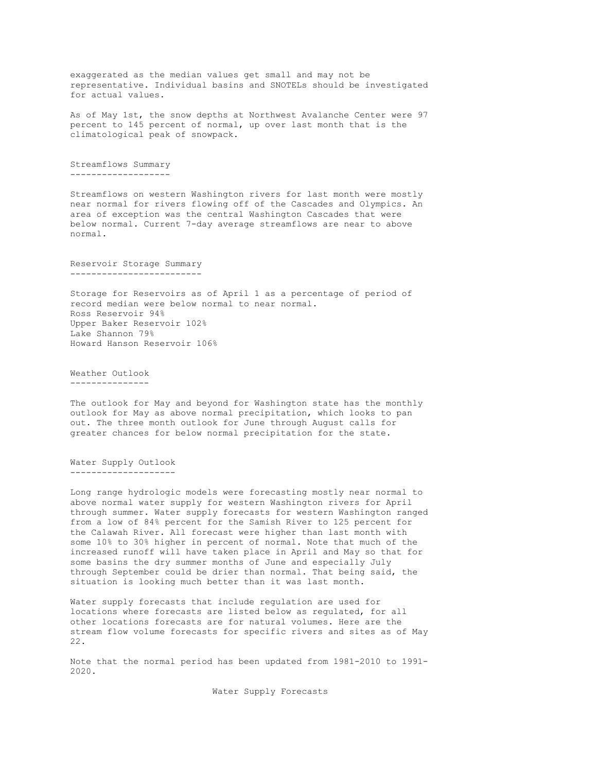exaggerated as the median values get small and may not be representative. Individual basins and SNOTELs should be investigated for actual values.

As of May 1st, the snow depths at Northwest Avalanche Center were 97 percent to 145 percent of normal, up over last month that is the climatological peak of snowpack.

Streamflows Summary -------------------

Streamflows on western Washington rivers for last month were mostly near normal for rivers flowing off of the Cascades and Olympics. An area of exception was the central Washington Cascades that were below normal. Current 7-day average streamflows are near to above normal.

Reservoir Storage Summary -------------------------

Storage for Reservoirs as of April 1 as a percentage of period of record median were below normal to near normal. Ross Reservoir 94% Upper Baker Reservoir 102% Lake Shannon 79% Howard Hanson Reservoir 106%

Weather Outlook ---------------

The outlook for May and beyond for Washington state has the monthly outlook for May as above normal precipitation, which looks to pan out. The three month outlook for June through August calls for greater chances for below normal precipitation for the state.

Water Supply Outlook --------------------

Long range hydrologic models were forecasting mostly near normal to above normal water supply for western Washington rivers for April through summer. Water supply forecasts for western Washington ranged from a low of 84% percent for the Samish River to 125 percent for the Calawah River. All forecast were higher than last month with some 10% to 30% higher in percent of normal. Note that much of the increased runoff will have taken place in April and May so that for some basins the dry summer months of June and especially July through September could be drier than normal. That being said, the situation is looking much better than it was last month.

Water supply forecasts that include regulation are used for locations where forecasts are listed below as regulated, for all other locations forecasts are for natural volumes. Here are the stream flow volume forecasts for specific rivers and sites as of May 22.

Note that the normal period has been updated from 1981-2010 to 1991- 2020.

Water Supply Forecasts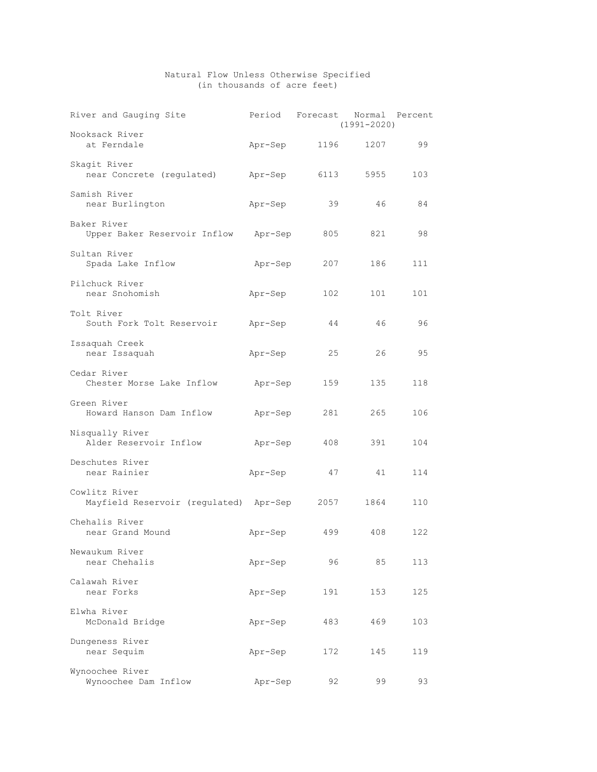## Natural Flow Unless Otherwise Specified (in thousands of acre feet)

| River and Gauging Site                          | Period  | Forecast | $(1991 - 2020)$ | Normal Percent |
|-------------------------------------------------|---------|----------|-----------------|----------------|
| Nooksack River<br>at Ferndale                   | Apr-Sep | 1196     | 1207            | 99             |
| Skagit River<br>near Concrete (regulated)       | Apr-Sep | 6113     | 5955            | 103            |
| Samish River<br>near Burlington                 | Apr-Sep | 39       | 46              | 84             |
| Baker River<br>Upper Baker Reservoir Inflow     | Apr-Sep | 805      | 821             | 98             |
| Sultan River<br>Spada Lake Inflow               | Apr-Sep | 207      | 186             | 111            |
| Pilchuck River<br>near Snohomish                | Apr-Sep | 102      | 101             | 101            |
| Tolt River<br>South Fork Tolt Reservoir         | Apr-Sep | 44       | 46              | 96             |
| Issaquah Creek<br>near Issaquah                 | Apr-Sep | 25       | 26              | 95             |
| Cedar River<br>Chester Morse Lake Inflow        | Apr-Sep | 159      | 135             | 118            |
| Green River<br>Howard Hanson Dam Inflow         | Apr-Sep | 281      | 265             | 106            |
| Nisqually River<br>Alder Reservoir Inflow       | Apr-Sep | 408      | 391             | 104            |
| Deschutes River<br>near Rainier                 | Apr-Sep | 47       | 41              | 114            |
| Cowlitz River<br>Mayfield Reservoir (regulated) | Apr-Sep | 2057     | 1864            | 110            |
| Chehalis River<br>near Grand Mound              | Apr-Sep | 499      | 408             | 122            |
| Newaukum River<br>near Chehalis                 | Apr-Sep | 96       | 85              | 113            |
| Calawah River<br>near Forks                     | Apr-Sep | 191      | 153             | 125            |
| Elwha River<br>McDonald Bridge                  | Apr-Sep | 483      | 469             | 103            |
| Dungeness River<br>near Sequim                  | Apr-Sep | 172      | 145             | 119            |
| Wynoochee River<br>Wynoochee Dam Inflow         | Apr-Sep | 92       | 99              | 93             |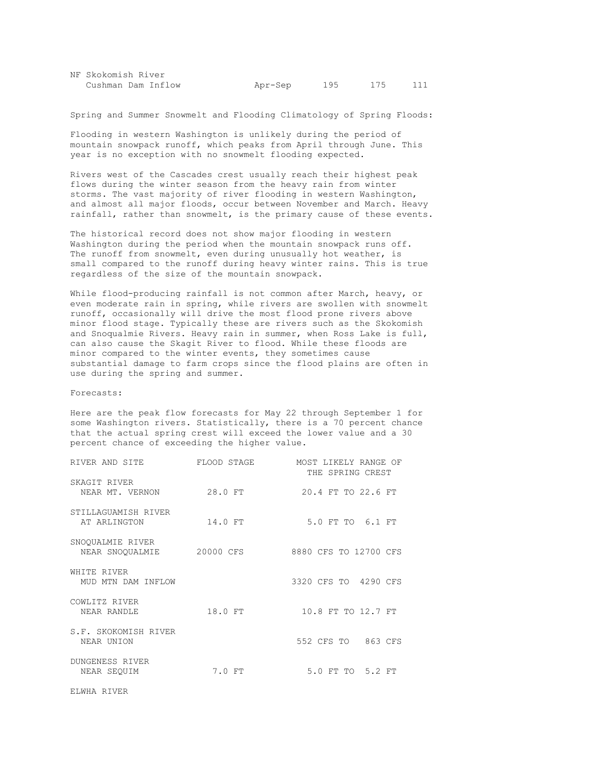| NF Skokomish River |         |     |     |  |
|--------------------|---------|-----|-----|--|
| Cushman Dam Inflow | Apr-Sep | 195 | 175 |  |

Spring and Summer Snowmelt and Flooding Climatology of Spring Floods:

Flooding in western Washington is unlikely during the period of mountain snowpack runoff, which peaks from April through June. This year is no exception with no snowmelt flooding expected.

Rivers west of the Cascades crest usually reach their highest peak flows during the winter season from the heavy rain from winter storms. The vast majority of river flooding in western Washington, and almost all major floods, occur between November and March. Heavy rainfall, rather than snowmelt, is the primary cause of these events.

The historical record does not show major flooding in western Washington during the period when the mountain snowpack runs off. The runoff from snowmelt, even during unusually hot weather, is small compared to the runoff during heavy winter rains. This is true regardless of the size of the mountain snowpack.

While flood-producing rainfall is not common after March, heavy, or even moderate rain in spring, while rivers are swollen with snowmelt runoff, occasionally will drive the most flood prone rivers above minor flood stage. Typically these are rivers such as the Skokomish and Snoqualmie Rivers. Heavy rain in summer, when Ross Lake is full, can also cause the Skagit River to flood. While these floods are minor compared to the winter events, they sometimes cause substantial damage to farm crops since the flood plains are often in use during the spring and summer.

Forecasts:

Here are the peak flow forecasts for May 22 through September 1 for some Washington rivers. Statistically, there is a 70 percent chance that the actual spring crest will exceed the lower value and a 30 percent chance of exceeding the higher value.

| RIVER AND SITE                      | FLOOD STAGE | MOST LIKELY RANGE OF<br>THE SPRING CREST |
|-------------------------------------|-------------|------------------------------------------|
| SKAGIT RIVER<br>NEAR MT. VERNON     | 28.0 FT     | 20.4 FT TO 22.6 FT                       |
| STILLAGUAMISH RIVER<br>AT ARLINGTON | 14.0 FT     | 5.0 FT TO 6.1 FT                         |
| SNOQUALMIE RIVER<br>NEAR SNOOUALMIE | 20000 CFS   | 8880 CFS TO 12700 CFS                    |
| WHITE RIVER<br>MUD MTN DAM INFLOW   |             | 3320 CFS TO 4290 CFS                     |
| COWLITZ RIVER<br>NEAR RANDLE        | 18.0 FT     | 10.8 FT TO 12.7 FT                       |
| S.F. SKOKOMISH RIVER<br>NEAR UNION  |             | 552 CFS TO 863 CFS                       |
| DUNGENESS RIVER<br>NEAR SEOUIM      | 7.0 FT      | 5.0 FT TO 5.2 FT                         |
| ELWHA RIVER                         |             |                                          |